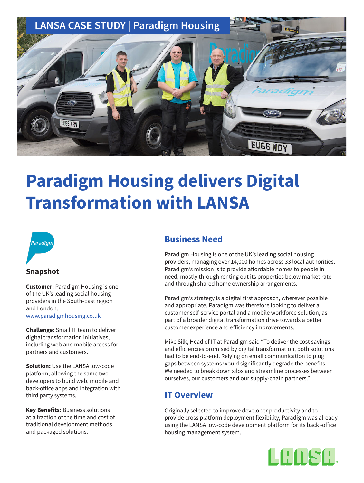

# **Paradigm Housing delivers Digital Transformation with LANSA**



### **Snapshot**

**Customer:** Paradigm Housing is one of the UK's leading social housing providers in the South-East region and London.

[www.paradigmhousing.co.uk](https://www.paradigmhousing.co.uk)

**Challenge:** Small IT team to deliver digital transformation initiatives, including web and mobile access for partners and customers.

**Solution:** Use the LANSA low-code platform, allowing the same two developers to build web, mobile and back-office apps and integration with third party systems.

**Key Benefits:** Business solutions at a fraction of the time and cost of traditional development methods and packaged solutions.

## **Business Need**

Paradigm Housing is one of the UK's leading social housing providers, managing over 14,000 homes across 33 local authorities. Paradigm's mission is to provide affordable homes to people in need, mostly through renting out its properties below market rate and through shared home ownership arrangements.

Paradigm's strategy is a digital first approach, wherever possible and appropriate. Paradigm was therefore looking to deliver a customer self-service portal and a mobile workforce solution, as part of a broader digital transformation drive towards a better customer experience and efficiency improvements.

Mike Silk, Head of IT at Paradigm said "To deliver the cost savings and efficiencies promised by digital transformation, both solutions had to be end-to-end. Relying on email communication to plug gaps between systems would significantly degrade the benefits. We needed to break down silos and streamline processes between ourselves, our customers and our supply-chain partners."

# **IT Overview**

Originally selected to improve developer productivity and to provide cross platform deployment flexibility, Paradigm was already using the LANSA low-code development platform for its back -office housing management system.